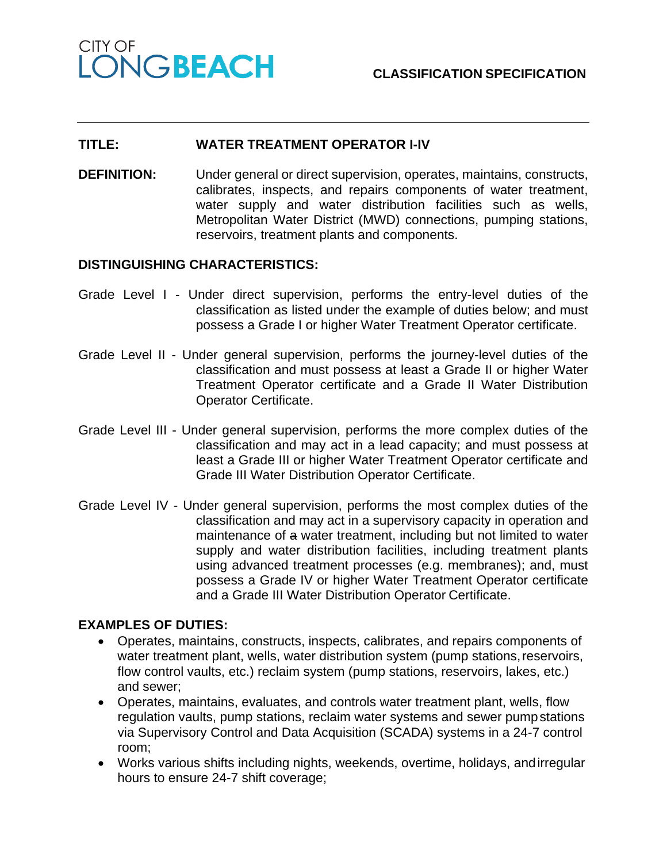

#### **TITLE: WATER TREATMENT OPERATOR I-IV**

**DEFINITION:** Under general or direct supervision, operates, maintains, constructs, calibrates, inspects, and repairs components of water treatment, water supply and water distribution facilities such as wells, Metropolitan Water District (MWD) connections, pumping stations, reservoirs, treatment plants and components.

#### **DISTINGUISHING CHARACTERISTICS:**

- Grade Level I Under direct supervision, performs the entry-level duties of the classification as listed under the example of duties below; and must possess a Grade I or higher Water Treatment Operator certificate.
- Grade Level II Under general supervision, performs the journey-level duties of the classification and must possess at least a Grade II or higher Water Treatment Operator certificate and a Grade II Water Distribution Operator Certificate.
- Grade Level III Under general supervision, performs the more complex duties of the classification and may act in a lead capacity; and must possess at least a Grade III or higher Water Treatment Operator certificate and Grade III Water Distribution Operator Certificate.
- Grade Level IV Under general supervision, performs the most complex duties of the classification and may act in a supervisory capacity in operation and maintenance of a water treatment, including but not limited to water supply and water distribution facilities, including treatment plants using advanced treatment processes (e.g. membranes); and, must possess a Grade IV or higher Water Treatment Operator certificate and a Grade III Water Distribution Operator Certificate.

#### **EXAMPLES OF DUTIES:**

- Operates, maintains, constructs, inspects, calibrates, and repairs components of water treatment plant, wells, water distribution system (pump stations, reservoirs, flow control vaults, etc.) reclaim system (pump stations, reservoirs, lakes, etc.) and sewer;
- Operates, maintains, evaluates, and controls water treatment plant, wells, flow regulation vaults, pump stations, reclaim water systems and sewer pumpstations via Supervisory Control and Data Acquisition (SCADA) systems in a 24-7 control room;
- Works various shifts including nights, weekends, overtime, holidays, andirregular hours to ensure 24-7 shift coverage;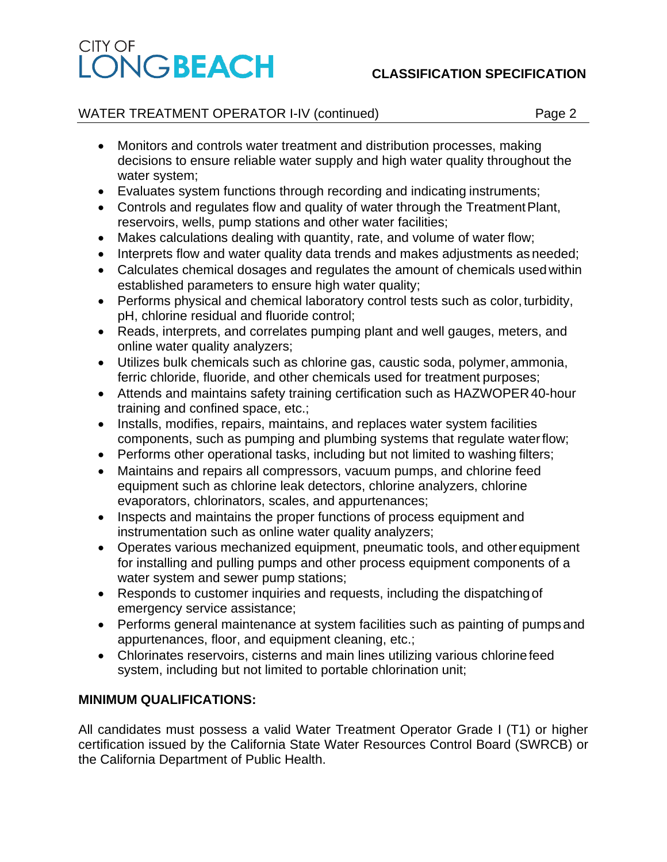# CITY OF **LONGBEACH**

# **CLASSIFICATION SPECIFICATION**

## WATER TREATMENT OPERATOR I-IV (continued) Page 2

- Monitors and controls water treatment and distribution processes, making decisions to ensure reliable water supply and high water quality throughout the water system;
- Evaluates system functions through recording and indicating instruments;
- Controls and regulates flow and quality of water through the Treatment Plant, reservoirs, wells, pump stations and other water facilities;
- Makes calculations dealing with quantity, rate, and volume of water flow;
- Interprets flow and water quality data trends and makes adjustments as needed;
- Calculates chemical dosages and regulates the amount of chemicals usedwithin established parameters to ensure high water quality;
- Performs physical and chemical laboratory control tests such as color, turbidity, pH, chlorine residual and fluoride control;
- Reads, interprets, and correlates pumping plant and well gauges, meters, and online water quality analyzers;
- Utilizes bulk chemicals such as chlorine gas, caustic soda, polymer,ammonia, ferric chloride, fluoride, and other chemicals used for treatment purposes;
- Attends and maintains safety training certification such as HAZWOPER 40-hour training and confined space, etc.;
- Installs, modifies, repairs, maintains, and replaces water system facilities components, such as pumping and plumbing systems that regulate waterflow;
- Performs other operational tasks, including but not limited to washing filters;
- Maintains and repairs all compressors, vacuum pumps, and chlorine feed equipment such as chlorine leak detectors, chlorine analyzers, chlorine evaporators, chlorinators, scales, and appurtenances;
- Inspects and maintains the proper functions of process equipment and instrumentation such as online water quality analyzers;
- Operates various mechanized equipment, pneumatic tools, and otherequipment for installing and pulling pumps and other process equipment components of a water system and sewer pump stations;
- Responds to customer inquiries and requests, including the dispatchingof emergency service assistance;
- Performs general maintenance at system facilities such as painting of pumpsand appurtenances, floor, and equipment cleaning, etc.;
- Chlorinates reservoirs, cisterns and main lines utilizing various chlorinefeed system, including but not limited to portable chlorination unit;

# **MINIMUM QUALIFICATIONS:**

All candidates must possess a valid Water Treatment Operator Grade I (T1) or higher certification issued by the California State Water Resources Control Board (SWRCB) or the California Department of Public Health.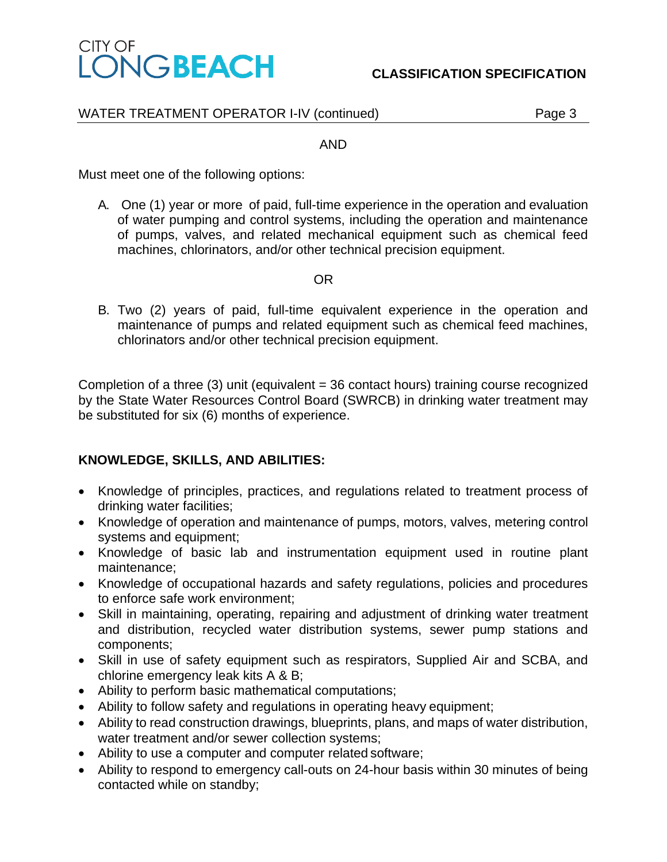

## WATER TREATMENT OPERATOR I-IV (continued) Page 3

#### AND

Must meet one of the following options:

A. One (1) year or more of paid, full-time experience in the operation and evaluation of water pumping and control systems, including the operation and maintenance of pumps, valves, and related mechanical equipment such as chemical feed machines, chlorinators, and/or other technical precision equipment.

#### OR

B. Two (2) years of paid, full-time equivalent experience in the operation and maintenance of pumps and related equipment such as chemical feed machines, chlorinators and/or other technical precision equipment.

Completion of a three (3) unit (equivalent = 36 contact hours) training course recognized by the State Water Resources Control Board (SWRCB) in drinking water treatment may be substituted for six (6) months of experience.

## **KNOWLEDGE, SKILLS, AND ABILITIES:**

- Knowledge of principles, practices, and regulations related to treatment process of drinking water facilities;
- Knowledge of operation and maintenance of pumps, motors, valves, metering control systems and equipment;
- Knowledge of basic lab and instrumentation equipment used in routine plant maintenance;
- Knowledge of occupational hazards and safety regulations, policies and procedures to enforce safe work environment;
- Skill in maintaining, operating, repairing and adjustment of drinking water treatment and distribution, recycled water distribution systems, sewer pump stations and components;
- Skill in use of safety equipment such as respirators, Supplied Air and SCBA, and chlorine emergency leak kits A & B;
- Ability to perform basic mathematical computations;
- Ability to follow safety and regulations in operating heavy equipment;
- Ability to read construction drawings, blueprints, plans, and maps of water distribution, water treatment and/or sewer collection systems;
- Ability to use a computer and computer related software;
- Ability to respond to emergency call-outs on 24-hour basis within 30 minutes of being contacted while on standby;